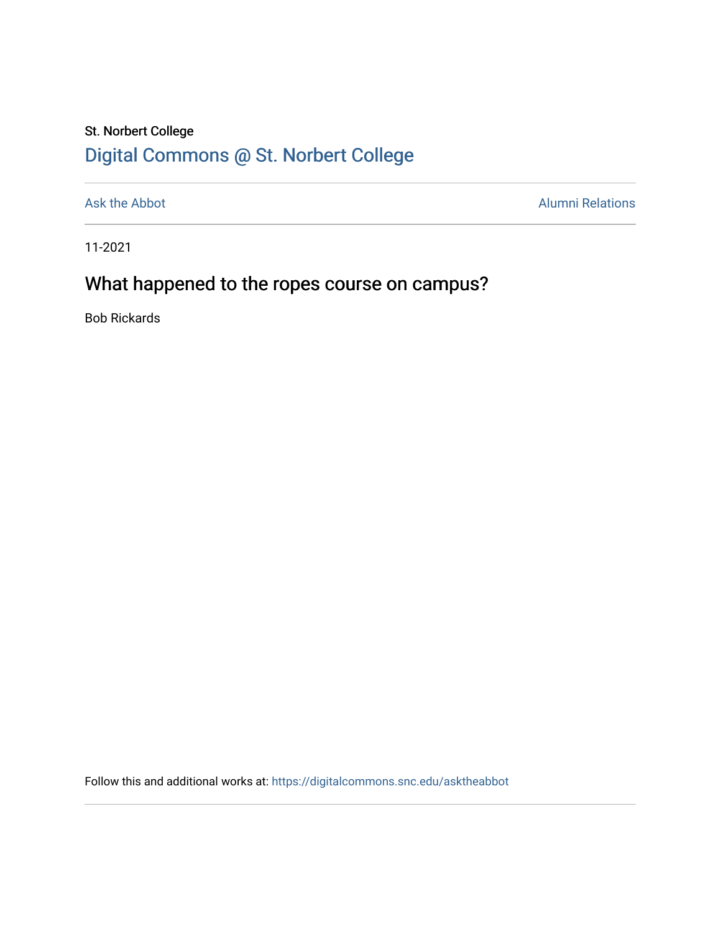## St. Norbert College [Digital Commons @ St. Norbert College](https://digitalcommons.snc.edu/)

[Ask the Abbot](https://digitalcommons.snc.edu/asktheabbot) **Alumni Relations** Alumni Relations

11-2021

# What happened to the ropes course on campus?

Bob Rickards

Follow this and additional works at: [https://digitalcommons.snc.edu/asktheabbot](https://digitalcommons.snc.edu/asktheabbot?utm_source=digitalcommons.snc.edu%2Fasktheabbot%2F169&utm_medium=PDF&utm_campaign=PDFCoverPages)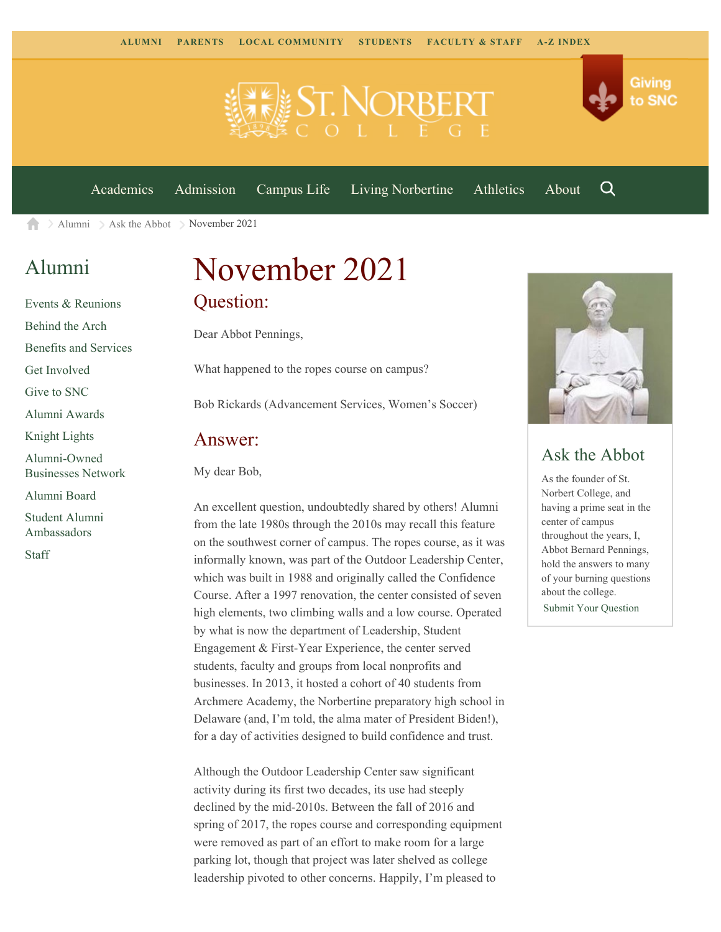



[Academics](https://www.snc.edu/academics) [Admission](https://www.snc.edu/admission) [Campus Life](https://www.snc.edu/campuslife) [Living Norbertine](https://www.snc.edu/livingnorbertine) [Athletics](https://www.snc.edu/athletics) [About](https://www.snc.edu/about)

Q

Giving

to SNC

[Alumni](https://www.snc.edu/alumni/)  $\geq$  [Ask the Abbot](https://www.snc.edu/alumni/abbot/)  $\geq$  November 2021 A

### [Alumni](https://www.snc.edu/alumni/index.html)

[Events & Reunions](https://www.snc.edu/alumni/event/index.html) [Behind the Arch](https://www.snc.edu/alumni/event/behindthearch/) [Benefits and Services](https://www.snc.edu/alumni/benefits.html) [Get Involved](https://www.snc.edu/alumni/getinvolved.html) [Give to SNC](http://giving.snc.edu/) [Alumni Awards](https://www.snc.edu/alumni/awards/index.html) [Knight Lights](https://www.snc.edu/alumni/knightlights/index.html) [Alumni-Owned](https://www.snc.edu/alumni/directory/index.html) [Businesses Network](https://www.snc.edu/alumni/directory/index.html) [Alumni Board](https://www.snc.edu/alumni/alumniboard.html) [Student Alumni](https://www.snc.edu/alumni/saa.html) [Ambassadors](https://www.snc.edu/alumni/saa.html) [Staff](https://www.snc.edu/alumni/contactus.html)

# November 2021 Question:

Dear Abbot Pennings,

What happened to the ropes course on campus?

Bob Rickards (Advancement Services, Women's Soccer)

#### Answer:

My dear Bob,

An excellent question, undoubtedly shared by others! Alumni from the late 1980s through the 2010s may recall this feature on the southwest corner of campus. The ropes course, as it was informally known, was part of the Outdoor Leadership Center, which was built in 1988 and originally called the Confidence Course. After a 1997 renovation, the center consisted of seven high elements, two climbing walls and a low course. Operated by what is now the department of Leadership, Student Engagement & First-Year Experience, the center served students, faculty and groups from local nonprofits and businesses. In 2013, it hosted a cohort of 40 students from Archmere Academy, the Norbertine preparatory high school in Delaware (and, I'm told, the alma mater of President Biden!), for a day of activities designed to build confidence and trust.

Although the Outdoor Leadership Center saw significant activity during its first two decades, its use had steeply declined by the mid-2010s. Between the fall of 2016 and spring of 2017, the ropes course and corresponding equipment were removed as part of an effort to make room for a large parking lot, though that project was later shelved as college leadership pivoted to other concerns. Happily, I'm pleased to



### Ask the Abbot

As the founder of St. Norbert College, and having a prime seat in the center of campus throughout the years, I, Abbot Bernard Pennings, hold the answers to many of your burning questions about the college. [Submit Your Question](https://www.snc.edu/alumni/abbot/index.html)